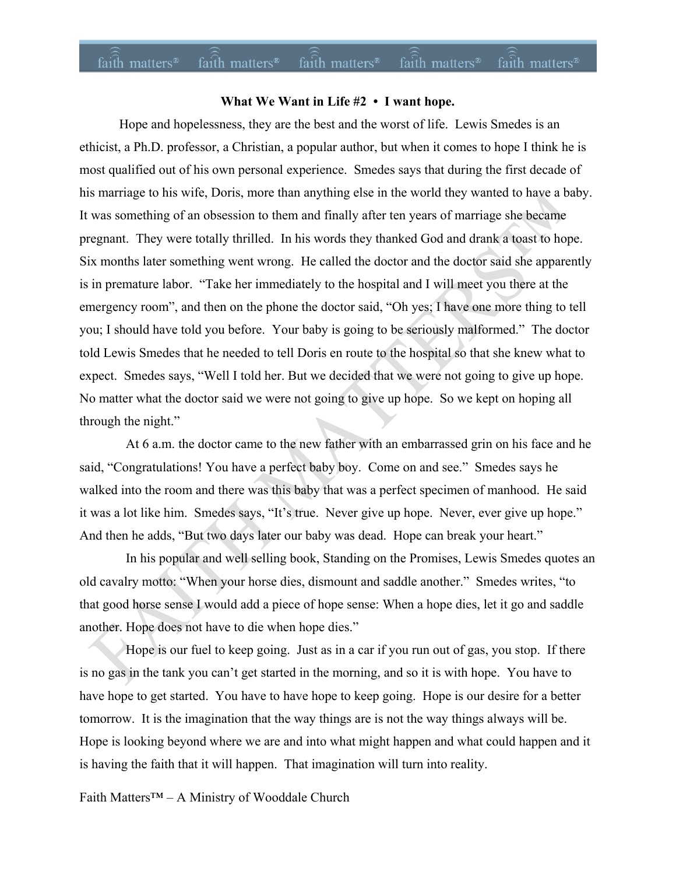#### $fa\hat{i}th$  matters<sup>®</sup> faith matters<sup>®</sup> faith matters<sup>®</sup> faith matters<sup>®</sup> faith matters<sup>®</sup>

## **What We Want in Life #2 • I want hope.**

Hope and hopelessness, they are the best and the worst of life. Lewis Smedes is an ethicist, a Ph.D. professor, a Christian, a popular author, but when it comes to hope I think he is most qualified out of his own personal experience. Smedes says that during the first decade of his marriage to his wife, Doris, more than anything else in the world they wanted to have a baby. It was something of an obsession to them and finally after ten years of marriage she became pregnant. They were totally thrilled. In his words they thanked God and drank a toast to hope. Six months later something went wrong. He called the doctor and the doctor said she apparently is in premature labor. "Take her immediately to the hospital and I will meet you there at the emergency room", and then on the phone the doctor said, "Oh yes; I have one more thing to tell you; I should have told you before. Your baby is going to be seriously malformed." The doctor told Lewis Smedes that he needed to tell Doris en route to the hospital so that she knew what to expect. Smedes says, "Well I told her. But we decided that we were not going to give up hope. No matter what the doctor said we were not going to give up hope. So we kept on hoping all through the night."

 At 6 a.m. the doctor came to the new father with an embarrassed grin on his face and he said, "Congratulations! You have a perfect baby boy. Come on and see." Smedes says he walked into the room and there was this baby that was a perfect specimen of manhood. He said it was a lot like him. Smedes says, "It's true. Never give up hope. Never, ever give up hope." And then he adds, "But two days later our baby was dead. Hope can break your heart."

 In his popular and well selling book, Standing on the Promises, Lewis Smedes quotes an old cavalry motto: "When your horse dies, dismount and saddle another." Smedes writes, "to that good horse sense I would add a piece of hope sense: When a hope dies, let it go and saddle another. Hope does not have to die when hope dies."

 Hope is our fuel to keep going. Just as in a car if you run out of gas, you stop. If there is no gas in the tank you can't get started in the morning, and so it is with hope. You have to have hope to get started. You have to have hope to keep going. Hope is our desire for a better tomorrow. It is the imagination that the way things are is not the way things always will be. Hope is looking beyond where we are and into what might happen and what could happen and it is having the faith that it will happen. That imagination will turn into reality.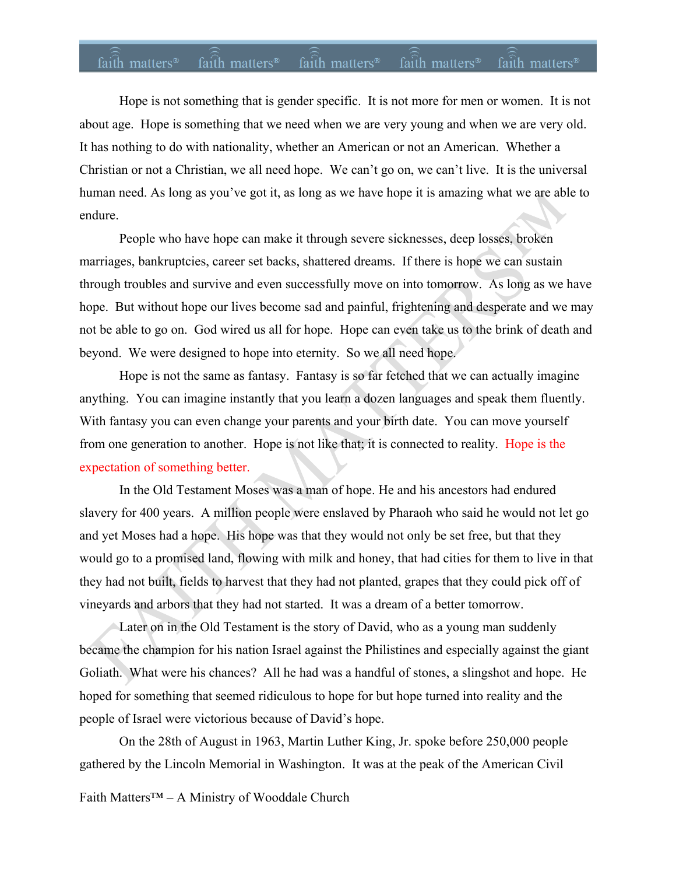#### faith matters<sup>®</sup> faith matters<sup>®</sup> faith matters<sup>®</sup> faith matters<sup>®</sup> faith matters<sup>®</sup>

Hope is not something that is gender specific. It is not more for men or women. It is not about age. Hope is something that we need when we are very young and when we are very old. It has nothing to do with nationality, whether an American or not an American. Whether a Christian or not a Christian, we all need hope. We can't go on, we can't live. It is the universal human need. As long as you've got it, as long as we have hope it is amazing what we are able to endure.

People who have hope can make it through severe sicknesses, deep losses, broken marriages, bankruptcies, career set backs, shattered dreams. If there is hope we can sustain through troubles and survive and even successfully move on into tomorrow. As long as we have hope. But without hope our lives become sad and painful, frightening and desperate and we may not be able to go on. God wired us all for hope. Hope can even take us to the brink of death and beyond. We were designed to hope into eternity. So we all need hope.

Hope is not the same as fantasy. Fantasy is so far fetched that we can actually imagine anything. You can imagine instantly that you learn a dozen languages and speak them fluently. With fantasy you can even change your parents and your birth date. You can move yourself from one generation to another. Hope is not like that; it is connected to reality. Hope is the expectation of something better.

In the Old Testament Moses was a man of hope. He and his ancestors had endured slavery for 400 years. A million people were enslaved by Pharaoh who said he would not let go and yet Moses had a hope. His hope was that they would not only be set free, but that they would go to a promised land, flowing with milk and honey, that had cities for them to live in that they had not built, fields to harvest that they had not planted, grapes that they could pick off of vineyards and arbors that they had not started. It was a dream of a better tomorrow.

Later on in the Old Testament is the story of David, who as a young man suddenly became the champion for his nation Israel against the Philistines and especially against the giant Goliath. What were his chances? All he had was a handful of stones, a slingshot and hope. He hoped for something that seemed ridiculous to hope for but hope turned into reality and the people of Israel were victorious because of David's hope.

On the 28th of August in 1963, Martin Luther King, Jr. spoke before 250,000 people gathered by the Lincoln Memorial in Washington. It was at the peak of the American Civil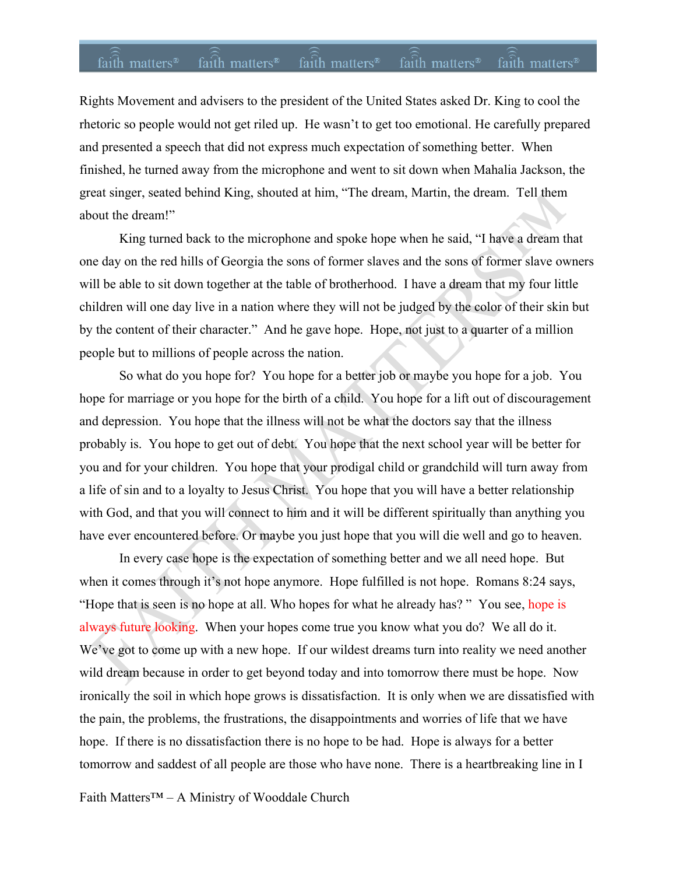### faith matters<sup>®</sup> faith matters<sup>®</sup> faith matters<sup>®</sup> faith matters<sup>®</sup> faith matters<sup>®</sup>

Rights Movement and advisers to the president of the United States asked Dr. King to cool the rhetoric so people would not get riled up. He wasn't to get too emotional. He carefully prepared and presented a speech that did not express much expectation of something better. When finished, he turned away from the microphone and went to sit down when Mahalia Jackson, the great singer, seated behind King, shouted at him, "The dream, Martin, the dream. Tell them about the dream!"

King turned back to the microphone and spoke hope when he said, "I have a dream that one day on the red hills of Georgia the sons of former slaves and the sons of former slave owners will be able to sit down together at the table of brotherhood. I have a dream that my four little children will one day live in a nation where they will not be judged by the color of their skin but by the content of their character." And he gave hope. Hope, not just to a quarter of a million people but to millions of people across the nation.

So what do you hope for? You hope for a better job or maybe you hope for a job. You hope for marriage or you hope for the birth of a child. You hope for a lift out of discouragement and depression. You hope that the illness will not be what the doctors say that the illness probably is. You hope to get out of debt. You hope that the next school year will be better for you and for your children. You hope that your prodigal child or grandchild will turn away from a life of sin and to a loyalty to Jesus Christ. You hope that you will have a better relationship with God, and that you will connect to him and it will be different spiritually than anything you have ever encountered before. Or maybe you just hope that you will die well and go to heaven.

In every case hope is the expectation of something better and we all need hope. But when it comes through it's not hope anymore. Hope fulfilled is not hope. Romans 8:24 says, "Hope that is seen is no hope at all. Who hopes for what he already has? " You see, hope is always future looking. When your hopes come true you know what you do? We all do it. We've got to come up with a new hope. If our wildest dreams turn into reality we need another wild dream because in order to get beyond today and into tomorrow there must be hope. Now ironically the soil in which hope grows is dissatisfaction. It is only when we are dissatisfied with the pain, the problems, the frustrations, the disappointments and worries of life that we have hope. If there is no dissatisfaction there is no hope to be had. Hope is always for a better tomorrow and saddest of all people are those who have none. There is a heartbreaking line in I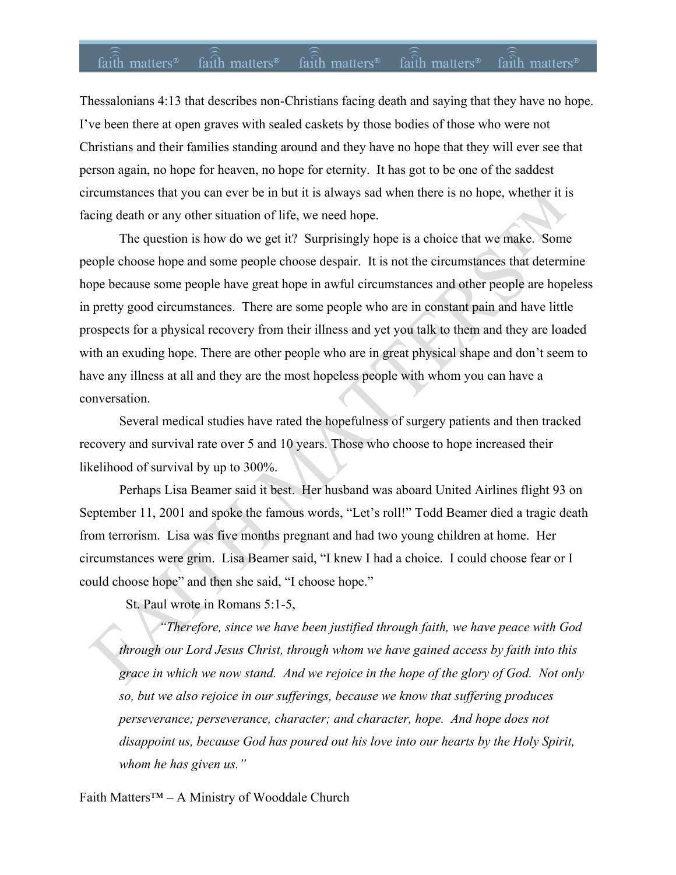### faith matters<sup>®</sup> faith matters<sup>®</sup> faith matters<sup>®</sup> faith matters<sup>®</sup> faith matters<sup>®</sup>

Thessalonians 4:13 that describes non-Christians facing death and saying that they have no hope. I've been there at open graves with sealed caskets by those bodies of those who were not Christians and their families standing around and they have no hope that they will ever see that person again, no hope for heaven, no hope for eternity. It has got to be one of the saddest circumstances that you can ever be in but it is always sad when there is no hope, whether it is facing death or any other situation of life, we need hope.

The question is how do we get it? Surprisingly hope is a choice that we make. Some people choose hope and some people choose despair. It is not the circumstances that determine hope because some people have great hope in awful circumstances and other people are hopeless in pretty good circumstances. There are some people who are in constant pain and have little prospects for a physical recovery from their illness and yet you talk to them and they are loaded with an exuding hope. There are other people who are in great physical shape and don't seem to have any illness at all and they are the most hopeless people with whom you can have a conversation.

Several medical studies have rated the hopefulness of surgery patients and then tracked recovery and survival rate over 5 and 10 years. Those who choose to hope increased their likelihood of survival by up to 300%.

Perhaps Lisa Beamer said it best. Her husband was aboard United Airlines flight 93 on September 11, 2001 and spoke the famous words, "Let's roll!" Todd Beamer died a tragic death from terrorism. Lisa was five months pregnant and had two young children at home. Her circumstances were grim. Lisa Beamer said, "I knew I had a choice. I could choose fear or I could choose hope" and then she said, "I choose hope."

St. Paul wrote in Romans 5:1-5,

*"Therefore, since we have been justified through faith, we have peace with God through our Lord Jesus Christ, through whom we have gained access by faith into this grace in which we now stand. And we rejoice in the hope of the glory of God. Not only so, but we also rejoice in our sufferings, because we know that suffering produces perseverance; perseverance, character; and character, hope. And hope does not disappoint us, because God has poured out his love into our hearts by the Holy Spirit, whom he has given us."*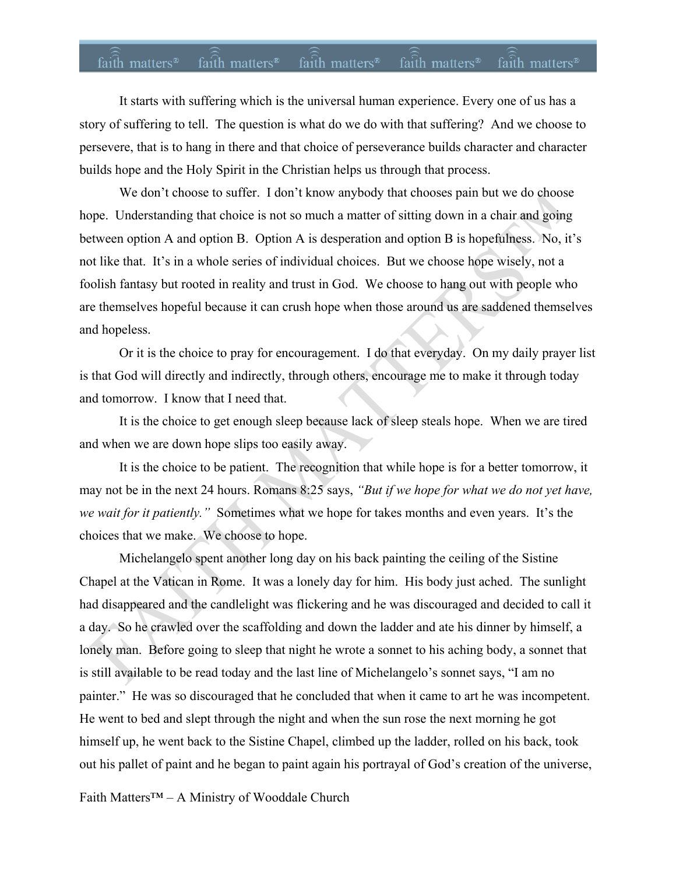# faith matters® faith matters® faith matters® faith matters® faith matters®

It starts with suffering which is the universal human experience. Every one of us has a story of suffering to tell. The question is what do we do with that suffering? And we choose to persevere, that is to hang in there and that choice of perseverance builds character and character builds hope and the Holy Spirit in the Christian helps us through that process.

We don't choose to suffer. I don't know anybody that chooses pain but we do choose hope. Understanding that choice is not so much a matter of sitting down in a chair and going between option A and option B. Option A is desperation and option B is hopefulness. No, it's not like that. It's in a whole series of individual choices. But we choose hope wisely, not a foolish fantasy but rooted in reality and trust in God. We choose to hang out with people who are themselves hopeful because it can crush hope when those around us are saddened themselves and hopeless.

Or it is the choice to pray for encouragement. I do that everyday. On my daily prayer list is that God will directly and indirectly, through others, encourage me to make it through today and tomorrow. I know that I need that.

It is the choice to get enough sleep because lack of sleep steals hope. When we are tired and when we are down hope slips too easily away.

It is the choice to be patient. The recognition that while hope is for a better tomorrow, it may not be in the next 24 hours. Romans 8:25 says, *"But if we hope for what we do not yet have, we wait for it patiently."* Sometimes what we hope for takes months and even years. It's the choices that we make. We choose to hope.

Michelangelo spent another long day on his back painting the ceiling of the Sistine Chapel at the Vatican in Rome. It was a lonely day for him. His body just ached. The sunlight had disappeared and the candlelight was flickering and he was discouraged and decided to call it a day. So he crawled over the scaffolding and down the ladder and ate his dinner by himself, a lonely man. Before going to sleep that night he wrote a sonnet to his aching body, a sonnet that is still available to be read today and the last line of Michelangelo's sonnet says, "I am no painter." He was so discouraged that he concluded that when it came to art he was incompetent. He went to bed and slept through the night and when the sun rose the next morning he got himself up, he went back to the Sistine Chapel, climbed up the ladder, rolled on his back, took out his pallet of paint and he began to paint again his portrayal of God's creation of the universe,